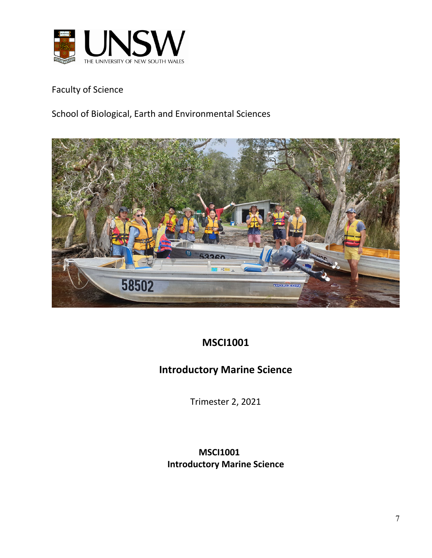

Faculty of Science

School of Biological, Earth and Environmental Sciences



# **MSCI1001**

# **Introductory Marine Science**

Trimester 2, 2021

**MSCI1001 Introductory Marine Science**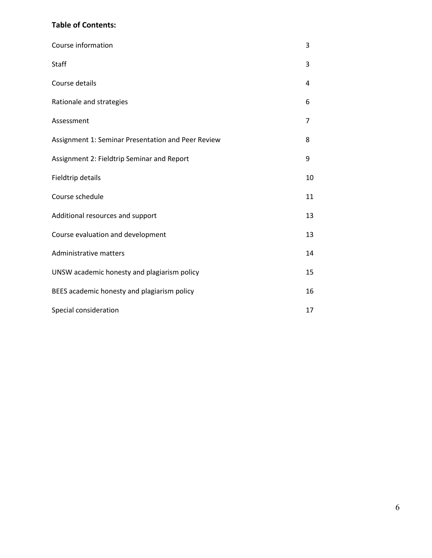### **Table of Contents:**

| Course information                                 | 3  |
|----------------------------------------------------|----|
| Staff                                              | 3  |
| Course details                                     | 4  |
| Rationale and strategies                           | 6  |
| Assessment                                         | 7  |
| Assignment 1: Seminar Presentation and Peer Review | 8  |
| Assignment 2: Fieldtrip Seminar and Report         | 9  |
| Fieldtrip details                                  | 10 |
| Course schedule                                    | 11 |
| Additional resources and support                   | 13 |
| Course evaluation and development                  | 13 |
| Administrative matters                             | 14 |
| UNSW academic honesty and plagiarism policy        | 15 |
| BEES academic honesty and plagiarism policy        | 16 |
| Special consideration                              | 17 |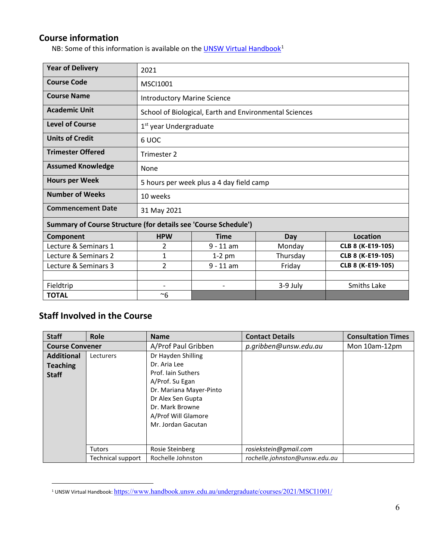### **Course information**

NB: Some of this information is available on the **UNSW Virtual Handbook**<sup>[1](#page-2-0)</sup>

| <b>Year of Delivery</b>                                         | 2021                                     |                                                        |          |                   |  |  |
|-----------------------------------------------------------------|------------------------------------------|--------------------------------------------------------|----------|-------------------|--|--|
| <b>Course Code</b>                                              | MSCI1001                                 |                                                        |          |                   |  |  |
| <b>Course Name</b>                                              | <b>Introductory Marine Science</b>       |                                                        |          |                   |  |  |
| <b>Academic Unit</b>                                            |                                          | School of Biological, Earth and Environmental Sciences |          |                   |  |  |
| <b>Level of Course</b>                                          | 1 <sup>st</sup> year Undergraduate       |                                                        |          |                   |  |  |
| <b>Units of Credit</b>                                          | 6 UOC                                    |                                                        |          |                   |  |  |
| <b>Trimester Offered</b>                                        | Trimester 2                              |                                                        |          |                   |  |  |
| <b>Assumed Knowledge</b>                                        | None                                     |                                                        |          |                   |  |  |
| <b>Hours per Week</b>                                           | 5 hours per week plus a 4 day field camp |                                                        |          |                   |  |  |
| <b>Number of Weeks</b>                                          | 10 weeks                                 |                                                        |          |                   |  |  |
| <b>Commencement Date</b>                                        | 31 May 2021                              |                                                        |          |                   |  |  |
| Summary of Course Structure (for details see 'Course Schedule') |                                          |                                                        |          |                   |  |  |
| Component                                                       | <b>HPW</b>                               | <b>Time</b>                                            | Day      | <b>Location</b>   |  |  |
| Lecture & Seminars 1                                            | 2                                        | $9 - 11$ am                                            | Monday   | CLB 8 (K-E19-105) |  |  |
| Lecture & Seminars 2                                            | 1                                        | $1-2$ pm                                               | Thursday | CLB 8 (K-E19-105) |  |  |
| Lecture & Seminars 3                                            | 2                                        | $9 - 11$ am                                            | Friday   | CLB 8 (K-E19-105) |  |  |
|                                                                 |                                          |                                                        |          |                   |  |  |
| Fieldtrip                                                       | $\overline{\phantom{0}}$                 | $\overline{\phantom{0}}$                               | 3-9 July | Smiths Lake       |  |  |
| <b>TOTAL</b>                                                    | $~\sim 6$                                |                                                        |          |                   |  |  |

# **Staff Involved in the Course**

| <b>Staff</b>                                         | Role                               | <b>Name</b>                                                                                                                                    | <b>Contact Details</b>                                 | <b>Consultation Times</b> |
|------------------------------------------------------|------------------------------------|------------------------------------------------------------------------------------------------------------------------------------------------|--------------------------------------------------------|---------------------------|
| <b>Course Convener</b>                               |                                    | A/Prof Paul Gribben                                                                                                                            | p.gribben@unsw.edu.au                                  | Mon 10am-12pm             |
| <b>Additional</b><br><b>Teaching</b><br><b>Staff</b> | Lecturers                          | Dr Hayden Shilling<br>Dr. Aria Lee<br>Prof. Jain Suthers<br>A/Prof. Su Egan<br>Dr. Mariana Mayer-Pinto<br>Dr Alex Sen Gupta<br>Dr. Mark Browne |                                                        |                           |
|                                                      | <b>Tutors</b><br>Technical support | A/Prof Will Glamore<br>Mr. Jordan Gacutan<br>Rosie Steinberg<br>Rochelle Johnston                                                              | rosiekstein@gmail.com<br>rochelle.johnston@unsw.edu.au |                           |

<span id="page-2-0"></span><sup>&</sup>lt;sup>1</sup> UNSW Virtual Handbook: https://www.handbook.unsw.edu.au/undergraduate/courses/2021/MSCI1001/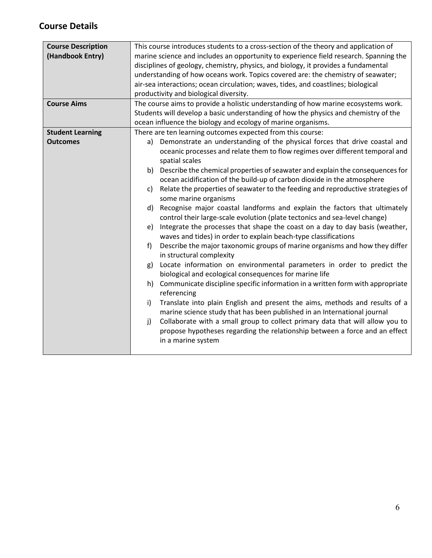# **Course Details**

| <b>Course Description</b><br>(Handbook Entry)<br><b>Course Aims</b> | This course introduces students to a cross-section of the theory and application of<br>marine science and includes an opportunity to experience field research. Spanning the<br>disciplines of geology, chemistry, physics, and biology, it provides a fundamental<br>understanding of how oceans work. Topics covered are: the chemistry of seawater;<br>air-sea interactions; ocean circulation; waves, tides, and coastlines; biological<br>productivity and biological diversity.<br>The course aims to provide a holistic understanding of how marine ecosystems work.<br>Students will develop a basic understanding of how the physics and chemistry of the                                                                                                                                                                                                                                                                                                                                                                                                                                                                                                                                                                                                                                                                                                                                                                                                                                                                                                                                                                                             |  |  |
|---------------------------------------------------------------------|----------------------------------------------------------------------------------------------------------------------------------------------------------------------------------------------------------------------------------------------------------------------------------------------------------------------------------------------------------------------------------------------------------------------------------------------------------------------------------------------------------------------------------------------------------------------------------------------------------------------------------------------------------------------------------------------------------------------------------------------------------------------------------------------------------------------------------------------------------------------------------------------------------------------------------------------------------------------------------------------------------------------------------------------------------------------------------------------------------------------------------------------------------------------------------------------------------------------------------------------------------------------------------------------------------------------------------------------------------------------------------------------------------------------------------------------------------------------------------------------------------------------------------------------------------------------------------------------------------------------------------------------------------------|--|--|
| <b>Student Learning</b><br><b>Outcomes</b>                          | ocean influence the biology and ecology of marine organisms.<br>There are ten learning outcomes expected from this course:<br>a) Demonstrate an understanding of the physical forces that drive coastal and<br>oceanic processes and relate them to flow regimes over different temporal and<br>spatial scales<br>b) Describe the chemical properties of seawater and explain the consequences for<br>ocean acidification of the build-up of carbon dioxide in the atmosphere<br>Relate the properties of seawater to the feeding and reproductive strategies of<br>c)<br>some marine organisms<br>Recognise major coastal landforms and explain the factors that ultimately<br>d)<br>control their large-scale evolution (plate tectonics and sea-level change)<br>Integrate the processes that shape the coast on a day to day basis (weather,<br>e)<br>waves and tides) in order to explain beach-type classifications<br>Describe the major taxonomic groups of marine organisms and how they differ<br>f<br>in structural complexity<br>Locate information on environmental parameters in order to predict the<br>g)<br>biological and ecological consequences for marine life<br>h) Communicate discipline specific information in a written form with appropriate<br>referencing<br>Translate into plain English and present the aims, methods and results of a<br>$\mathsf{i}$<br>marine science study that has been published in an International journal<br>Collaborate with a small group to collect primary data that will allow you to<br>j)<br>propose hypotheses regarding the relationship between a force and an effect<br>in a marine system |  |  |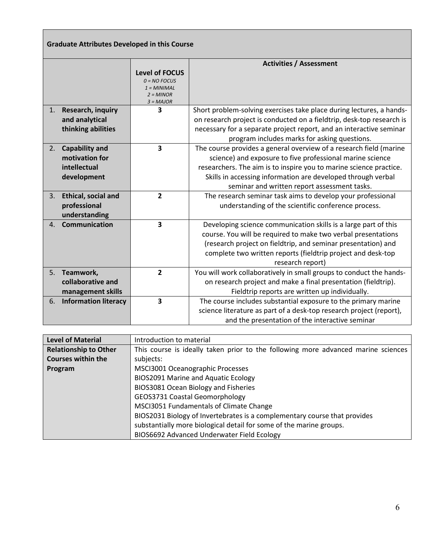|             | <b>Graduate Attributes Developed in this Course</b>                    |                                                                                        |                                                                                                                                                                                                                                                                                                                       |
|-------------|------------------------------------------------------------------------|----------------------------------------------------------------------------------------|-----------------------------------------------------------------------------------------------------------------------------------------------------------------------------------------------------------------------------------------------------------------------------------------------------------------------|
|             |                                                                        | <b>Level of FOCUS</b><br>$0 = NO$ FOCUS<br>$1 = MINIMAL$<br>$2 = MINOR$<br>$3 = MAJOR$ | <b>Activities / Assessment</b>                                                                                                                                                                                                                                                                                        |
| 1.          | Research, inquiry<br>and analytical<br>thinking abilities              | 3                                                                                      | Short problem-solving exercises take place during lectures, a hands-<br>on research project is conducted on a fieldtrip, desk-top research is<br>necessary for a separate project report, and an interactive seminar<br>program includes marks for asking questions.                                                  |
| 2.          | <b>Capability and</b><br>motivation for<br>intellectual<br>development | 3                                                                                      | The course provides a general overview of a research field (marine<br>science) and exposure to five professional marine science<br>researchers. The aim is to inspire you to marine science practice.<br>Skills in accessing information are developed through verbal<br>seminar and written report assessment tasks. |
| 3.          | Ethical, social and<br>professional<br>understanding                   | $\overline{2}$                                                                         | The research seminar task aims to develop your professional<br>understanding of the scientific conference process.                                                                                                                                                                                                    |
| $4_{\cdot}$ | Communication                                                          | $\overline{\mathbf{3}}$                                                                | Developing science communication skills is a large part of this<br>course. You will be required to make two verbal presentations<br>(research project on fieldtrip, and seminar presentation) and<br>complete two written reports (fieldtrip project and desk-top<br>research report)                                 |
| 5.          | Teamwork,<br>collaborative and<br>management skills                    | $\overline{2}$                                                                         | You will work collaboratively in small groups to conduct the hands-<br>on research project and make a final presentation (fieldtrip).<br>Fieldtrip reports are written up individually.                                                                                                                               |
| 6.          | <b>Information literacy</b>                                            | 3                                                                                      | The course includes substantial exposure to the primary marine<br>science literature as part of a desk-top research project (report),<br>and the presentation of the interactive seminar                                                                                                                              |

| <b>Level of Material</b>     | Introduction to material                                                          |
|------------------------------|-----------------------------------------------------------------------------------|
| <b>Relationship to Other</b> | This course is ideally taken prior to the following more advanced marine sciences |
| <b>Courses within the</b>    | subjects:                                                                         |
| Program                      | MSCI3001 Oceanographic Processes                                                  |
|                              | BIOS2091 Marine and Aquatic Ecology                                               |
|                              | BIOS3081 Ocean Biology and Fisheries                                              |
|                              | <b>GEOS3731 Coastal Geomorphology</b>                                             |
|                              | MSCI3051 Fundamentals of Climate Change                                           |
|                              | BIOS2031 Biology of Invertebrates is a complementary course that provides         |
|                              | substantially more biological detail for some of the marine groups.               |
|                              | BIOS6692 Advanced Underwater Field Ecology                                        |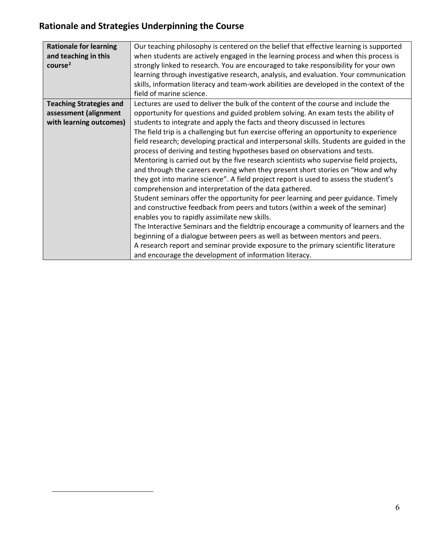# **Rationale and Strategies Underpinning the Course**

<span id="page-5-0"></span>

| <b>Rationale for learning</b><br>and teaching in this<br>course <sup>2</sup>       | Our teaching philosophy is centered on the belief that effective learning is supported<br>when students are actively engaged in the learning process and when this process is<br>strongly linked to research. You are encouraged to take responsibility for your own<br>learning through investigative research, analysis, and evaluation. Your communication<br>skills, information literacy and team-work abilities are developed in the context of the<br>field of marine science.                                                                                                                                                                                                                                                                                                                                                                                                                                                                                                                                                                                                                                                                                                                                                                                                                                                                                                                         |
|------------------------------------------------------------------------------------|---------------------------------------------------------------------------------------------------------------------------------------------------------------------------------------------------------------------------------------------------------------------------------------------------------------------------------------------------------------------------------------------------------------------------------------------------------------------------------------------------------------------------------------------------------------------------------------------------------------------------------------------------------------------------------------------------------------------------------------------------------------------------------------------------------------------------------------------------------------------------------------------------------------------------------------------------------------------------------------------------------------------------------------------------------------------------------------------------------------------------------------------------------------------------------------------------------------------------------------------------------------------------------------------------------------------------------------------------------------------------------------------------------------|
| <b>Teaching Strategies and</b><br>assessment (alignment<br>with learning outcomes) | Lectures are used to deliver the bulk of the content of the course and include the<br>opportunity for questions and guided problem solving. An exam tests the ability of<br>students to integrate and apply the facts and theory discussed in lectures<br>The field trip is a challenging but fun exercise offering an opportunity to experience<br>field research; developing practical and interpersonal skills. Students are guided in the<br>process of deriving and testing hypotheses based on observations and tests.<br>Mentoring is carried out by the five research scientists who supervise field projects,<br>and through the careers evening when they present short stories on "How and why<br>they got into marine science". A field project report is used to assess the student's<br>comprehension and interpretation of the data gathered.<br>Student seminars offer the opportunity for peer learning and peer guidance. Timely<br>and constructive feedback from peers and tutors (within a week of the seminar)<br>enables you to rapidly assimilate new skills.<br>The Interactive Seminars and the fieldtrip encourage a community of learners and the<br>beginning of a dialogue between peers as well as between mentors and peers.<br>A research report and seminar provide exposure to the primary scientific literature<br>and encourage the development of information literacy. |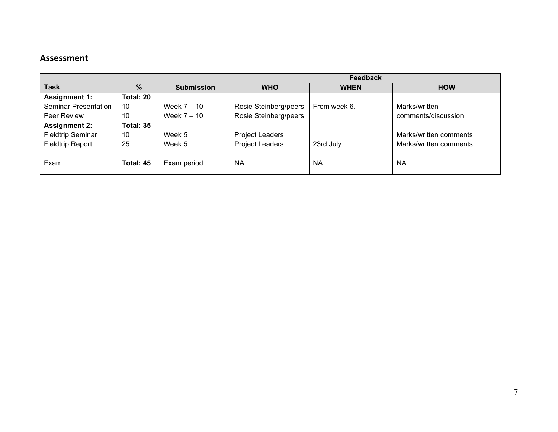### **Assessment**

|                             |           |                   | <b>Feedback</b>        |              |                        |
|-----------------------------|-----------|-------------------|------------------------|--------------|------------------------|
| <b>Task</b>                 | $\%$      | <b>Submission</b> | <b>WHO</b>             | <b>WHEN</b>  | <b>HOW</b>             |
| <b>Assignment 1:</b>        | Total: 20 |                   |                        |              |                        |
| <b>Seminar Presentation</b> | 10        | Week $7 - 10$     | Rosie Steinberg/peers  | From week 6. | Marks/written          |
| Peer Review                 | 10        | Week $7 - 10$     | Rosie Steinberg/peers  |              | comments/discussion    |
| <b>Assignment 2:</b>        | Total: 35 |                   |                        |              |                        |
| <b>Fieldtrip Seminar</b>    | 10        | Week 5            | <b>Project Leaders</b> |              | Marks/written comments |
| <b>Fieldtrip Report</b>     | 25        | Week 5            | <b>Project Leaders</b> | 23rd July    | Marks/written comments |
|                             |           |                   |                        |              |                        |
| Exam                        | Total: 45 | Exam period       | <b>NA</b>              | <b>NA</b>    | <b>NA</b>              |
|                             |           |                   |                        |              |                        |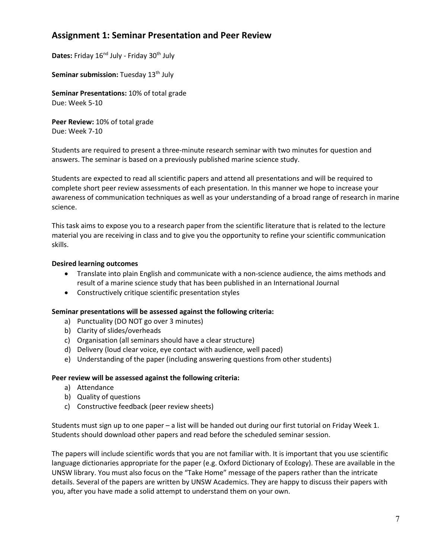### **Assignment 1: Seminar Presentation and Peer Review**

Dates: Friday 16<sup>nd</sup> July - Friday 30<sup>th</sup> July

**Seminar submission:** Tuesday 13<sup>th</sup> July

**Seminar Presentations:** 10% of total grade Due: Week 5-10

**Peer Review:** 10% of total grade Due: Week 7-10

Students are required to present a three-minute research seminar with two minutes for question and answers. The seminar is based on a previously published marine science study.

Students are expected to read all scientific papers and attend all presentations and will be required to complete short peer review assessments of each presentation. In this manner we hope to increase your awareness of communication techniques as well as your understanding of a broad range of research in marine science.

This task aims to expose you to a research paper from the scientific literature that is related to the lecture material you are receiving in class and to give you the opportunity to refine your scientific communication skills.

#### **Desired learning outcomes**

- Translate into plain English and communicate with a non-science audience, the aims methods and result of a marine science study that has been published in an International Journal
- Constructively critique scientific presentation styles

#### **Seminar presentations will be assessed against the following criteria:**

- a) Punctuality (DO NOT go over 3 minutes)
- b) Clarity of slides/overheads
- c) Organisation (all seminars should have a clear structure)
- d) Delivery (loud clear voice, eye contact with audience, well paced)
- e) Understanding of the paper (including answering questions from other students)

#### **Peer review will be assessed against the following criteria:**

- a) Attendance
- b) Quality of questions
- c) Constructive feedback (peer review sheets)

Students must sign up to one paper – a list will be handed out during our first tutorial on Friday Week 1. Students should download other papers and read before the scheduled seminar session.

The papers will include scientific words that you are not familiar with. It is important that you use scientific language dictionaries appropriate for the paper (e.g. Oxford Dictionary of Ecology). These are available in the UNSW library. You must also focus on the "Take Home" message of the papers rather than the intricate details. Several of the papers are written by UNSW Academics. They are happy to discuss their papers with you, after you have made a solid attempt to understand them on your own.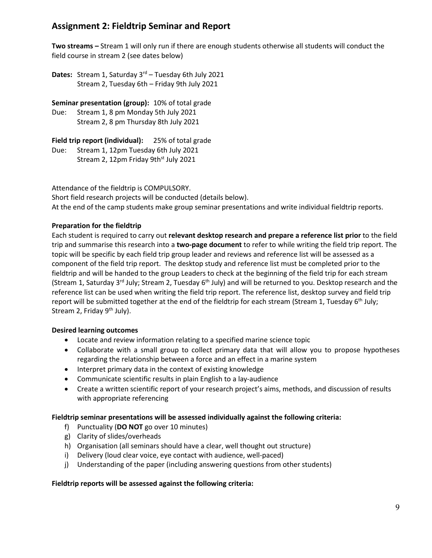### **Assignment 2: Fieldtrip Seminar and Report**

**Two streams –** Stream 1 will only run if there are enough students otherwise all students will conduct the field course in stream 2 (see dates below)

Dates: Stream 1, Saturday 3<sup>rd</sup> – Tuesday 6th July 2021 Stream 2, Tuesday 6th – Friday 9th July 2021

**Seminar presentation (group):** 10% of total grade Due: Stream 1, 8 pm Monday 5th July 2021 Stream 2, 8 pm Thursday 8th July 2021

**Field trip report (individual):** 25% of total grade Due: Stream 1, 12pm Tuesday 6th July 2021 Stream 2, 12pm Friday 9th<sup>st</sup> July 2021

Attendance of the fieldtrip is COMPULSORY.

Short field research projects will be conducted (details below). At the end of the camp students make group seminar presentations and write individual fieldtrip reports.

#### **Preparation for the fieldtrip**

Each student is required to carry out **relevant desktop research and prepare a reference list prior** to the field trip and summarise this research into a **two-page document** to refer to while writing the field trip report. The topic will be specific by each field trip group leader and reviews and reference list will be assessed as a component of the field trip report. The desktop study and reference list must be completed prior to the fieldtrip and will be handed to the group Leaders to check at the beginning of the field trip for each stream (Stream 1, Saturday 3<sup>rd</sup> July; Stream 2, Tuesday 6<sup>th</sup> July) and will be returned to you. Desktop research and the reference list can be used when writing the field trip report. The reference list, desktop survey and field trip report will be submitted together at the end of the fieldtrip for each stream (Stream 1, Tuesday 6<sup>th</sup> July; Stream 2, Friday  $9<sup>th</sup>$  July).

#### **Desired learning outcomes**

- Locate and review information relating to a specified marine science topic
- Collaborate with a small group to collect primary data that will allow you to propose hypotheses regarding the relationship between a force and an effect in a marine system
- Interpret primary data in the context of existing knowledge
- Communicate scientific results in plain English to a lay-audience
- Create a written scientific report of your research project's aims, methods, and discussion of results with appropriate referencing

#### **Fieldtrip seminar presentations will be assessed individually against the following criteria:**

- f) Punctuality (**DO NOT** go over 10 minutes)
- g) Clarity of slides/overheads
- h) Organisation (all seminars should have a clear, well thought out structure)
- i) Delivery (loud clear voice, eye contact with audience, well-paced)
- j) Understanding of the paper (including answering questions from other students)

#### **Fieldtrip reports will be assessed against the following criteria:**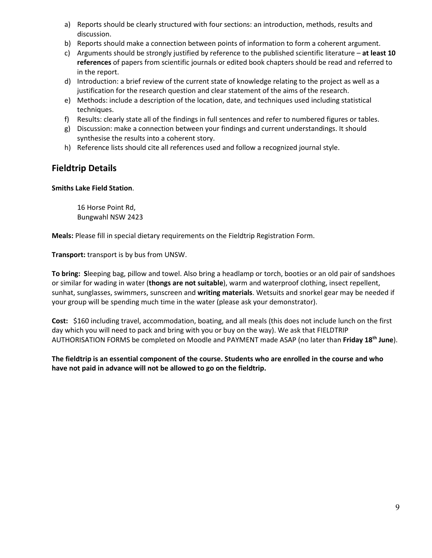- a) Reports should be clearly structured with four sections: an introduction, methods, results and discussion.
- b) Reports should make a connection between points of information to form a coherent argument.
- c) Arguments should be strongly justified by reference to the published scientific literature **at least 10 references** of papers from scientific journals or edited book chapters should be read and referred to in the report.
- d) Introduction: a brief review of the current state of knowledge relating to the project as well as a justification for the research question and clear statement of the aims of the research.
- e) Methods: include a description of the location, date, and techniques used including statistical techniques.
- f) Results: clearly state all of the findings in full sentences and refer to numbered figures or tables.
- g) Discussion: make a connection between your findings and current understandings. It should synthesise the results into a coherent story.
- h) Reference lists should cite all references used and follow a recognized journal style.

### **Fieldtrip Details**

#### **Smiths Lake Field Station**.

16 Horse Point Rd, Bungwahl NSW 2423

**Meals:** Please fill in special dietary requirements on the Fieldtrip Registration Form.

**Transport:** transport is by bus from UNSW.

**To bring: S**leeping bag, pillow and towel. Also bring a headlamp or torch, booties or an old pair of sandshoes or similar for wading in water (**thongs are not suitable**), warm and waterproof clothing, insect repellent, sunhat, sunglasses, swimmers, sunscreen and **writing materials**. Wetsuits and snorkel gear may be needed if your group will be spending much time in the water (please ask your demonstrator).

**Cost:** \$160 including travel, accommodation, boating, and all meals (this does not include lunch on the first day which you will need to pack and bring with you or buy on the way). We ask that FIELDTRIP AUTHORISATION FORMS be completed on Moodle and PAYMENT made ASAP (no later than **Friday 18th June**).

#### **The fieldtrip is an essential component of the course. Students who are enrolled in the course and who have not paid in advance will not be allowed to go on the fieldtrip.**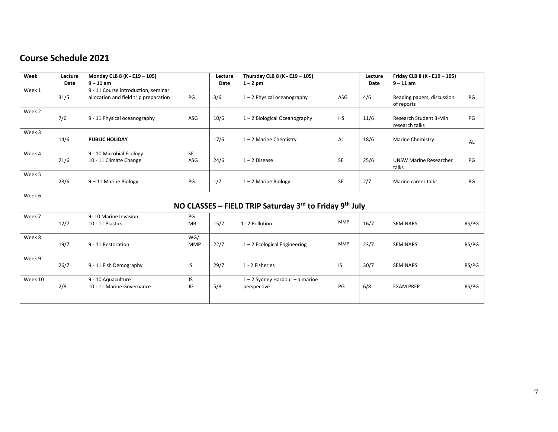## **Course Schedule 2021**

| Week    | Lecture | Monday CLB 8 (K - E19 - 105)                                                 |                   | Lecture | Thursday CLB 8 (K - E19 - 105)                          |            | Lecture | Friday CLB 8 (K - E19 - 105)             |       |
|---------|---------|------------------------------------------------------------------------------|-------------------|---------|---------------------------------------------------------|------------|---------|------------------------------------------|-------|
|         | Date    | $9 - 11$ am                                                                  |                   | Date    | $1 - 2$ pm                                              |            | Date    | $9 - 11$ am                              |       |
| Week 1  | 31/5    | 9 - 11 Course introduction, seminar<br>allocation and field trip preparation | PG                | 3/6     | $1 - 2$ Physical oceanography                           | ASG        | 4/6     | Reading papers, discussion<br>of reports | PG    |
| Week 2  | 7/6     | 9 - 11 Physical oceanography                                                 | ASG               | 10/6    | $1 - 2$ Biological Oceanography                         | HS         | 11/6    | Research Student 3-Min<br>research talks | PG    |
| Week 3  | 14/6    | <b>PUBLIC HOLIDAY</b>                                                        |                   | 17/6    | $1 - 2$ Marine Chemistry                                | AL         | 18/6    | Marine Chemistry                         | AL    |
| Week 4  | 21/6    | 9 - 10 Microbial Ecology<br>10 - 11 Climate Change                           | SE<br>ASG         | 24/6    | $1 - 2$ Disease                                         | <b>SE</b>  | 25/6    | <b>UNSW Marine Researcher</b><br>talks   | PG    |
| Week 5  | 28/6    | 9-11 Marine Biology                                                          | PG                | 1/7     | $1 - 2$ Marine Biology                                  | <b>SE</b>  | 2/7     | Marine career talks                      | PG    |
| Week 6  |         |                                                                              |                   |         |                                                         |            |         |                                          |       |
|         |         |                                                                              |                   |         | NO CLASSES - FIELD TRIP Saturday 3rd to Friday 9th July |            |         |                                          |       |
| Week 7  | 12/7    | 9-10 Marine Invasion<br>10 - 11 Plastics                                     | PG<br>MB          | 15/7    | 1-2 Pollution                                           | <b>MMP</b> | 16/7    | <b>SEMINARS</b>                          | RS/PG |
| Week 8  | 19/7    | 9 - 11 Restoration                                                           | WG/<br><b>MMP</b> | 22/7    | $1 - 2$ Ecological Engineering                          | MMP        | 23/7    | <b>SEMINARS</b>                          | RS/PG |
| Week 9  | 26/7    | 9 - 11 Fish Demography                                                       | IS                | 29/7    | 1 - 2 Fisheries                                         | IS         | 30/7    | <b>SEMINARS</b>                          | RS/PG |
| Week 10 | 2/8     | 9 - 10 Aquaculture<br>10 - 11 Marine Governance                              | JS<br>JG          | 5/8     | $1 - 2$ Sydney Harbour - a marine<br>perspective        | PG         | 6/8     | <b>EXAM PREP</b>                         | RS/PG |
|         |         |                                                                              |                   |         |                                                         |            |         |                                          |       |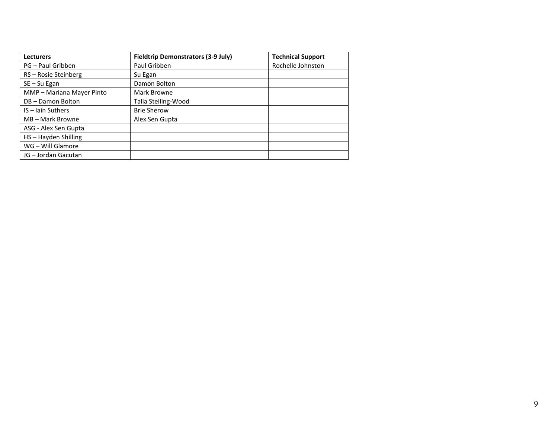| <b>Lecturers</b>          | <b>Fieldtrip Demonstrators (3-9 July)</b> | <b>Technical Support</b> |
|---------------------------|-------------------------------------------|--------------------------|
| PG - Paul Gribben         | Paul Gribben                              | Rochelle Johnston        |
| RS-Rosie Steinberg        | Su Egan                                   |                          |
| SE-Su Egan                | Damon Bolton                              |                          |
| MMP - Mariana Mayer Pinto | Mark Browne                               |                          |
| DB-Damon Bolton           | Talia Stelling-Wood                       |                          |
| IS - Jain Suthers         | <b>Brie Sherow</b>                        |                          |
| MB - Mark Browne          | Alex Sen Gupta                            |                          |
| ASG - Alex Sen Gupta      |                                           |                          |
| HS-Hayden Shilling        |                                           |                          |
| WG - Will Glamore         |                                           |                          |
| JG - Jordan Gacutan       |                                           |                          |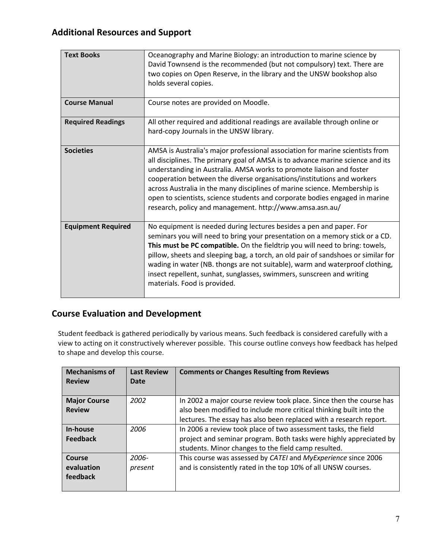# **Additional Resources and Support**

| <b>Text Books</b>         | Oceanography and Marine Biology: an introduction to marine science by<br>David Townsend is the recommended (but not compulsory) text. There are<br>two copies on Open Reserve, in the library and the UNSW bookshop also<br>holds several copies.                                                                                                                                                                                                                                                                                         |
|---------------------------|-------------------------------------------------------------------------------------------------------------------------------------------------------------------------------------------------------------------------------------------------------------------------------------------------------------------------------------------------------------------------------------------------------------------------------------------------------------------------------------------------------------------------------------------|
| <b>Course Manual</b>      | Course notes are provided on Moodle.                                                                                                                                                                                                                                                                                                                                                                                                                                                                                                      |
| <b>Required Readings</b>  | All other required and additional readings are available through online or<br>hard-copy Journals in the UNSW library.                                                                                                                                                                                                                                                                                                                                                                                                                     |
| <b>Societies</b>          | AMSA is Australia's major professional association for marine scientists from<br>all disciplines. The primary goal of AMSA is to advance marine science and its<br>understanding in Australia. AMSA works to promote liaison and foster<br>cooperation between the diverse organisations/institutions and workers<br>across Australia in the many disciplines of marine science. Membership is<br>open to scientists, science students and corporate bodies engaged in marine<br>research, policy and management. http://www.amsa.asn.au/ |
| <b>Equipment Required</b> | No equipment is needed during lectures besides a pen and paper. For<br>seminars you will need to bring your presentation on a memory stick or a CD.<br>This must be PC compatible. On the fieldtrip you will need to bring: towels,<br>pillow, sheets and sleeping bag, a torch, an old pair of sandshoes or similar for<br>wading in water (NB. thongs are not suitable), warm and waterproof clothing,<br>insect repellent, sunhat, sunglasses, swimmers, sunscreen and writing<br>materials. Food is provided.                         |

### **Course Evaluation and Development**

Student feedback is gathered periodically by various means. Such feedback is considered carefully with a view to acting on it constructively wherever possible. This course outline conveys how feedback has helped to shape and develop this course.

| <b>Mechanisms of</b> | <b>Last Review</b> | <b>Comments or Changes Resulting from Reviews</b>                   |
|----------------------|--------------------|---------------------------------------------------------------------|
| <b>Review</b>        | Date               |                                                                     |
|                      |                    |                                                                     |
| <b>Major Course</b>  | 2002               | In 2002 a major course review took place. Since then the course has |
| <b>Review</b>        |                    | also been modified to include more critical thinking built into the |
|                      |                    | lectures. The essay has also been replaced with a research report.  |
| In-house             | 2006               | In 2006 a review took place of two assessment tasks, the field      |
| <b>Feedback</b>      |                    | project and seminar program. Both tasks were highly appreciated by  |
|                      |                    | students. Minor changes to the field camp resulted.                 |
| Course               | 2006-              | This course was assessed by CATEI and MyExperience since 2006       |
| evaluation           | present            | and is consistently rated in the top 10% of all UNSW courses.       |
| feedback             |                    |                                                                     |
|                      |                    |                                                                     |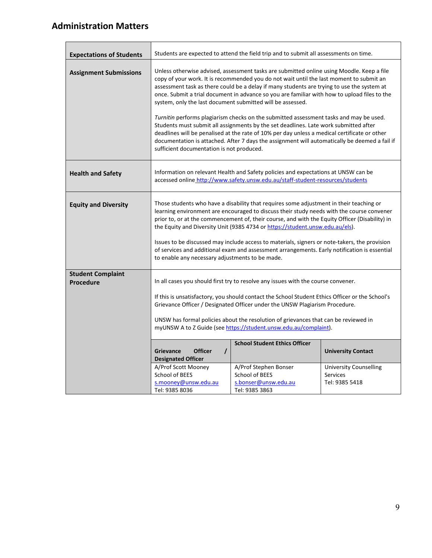# **Administration Matters**

| <b>Expectations of Students</b>              | Students are expected to attend the field trip and to submit all assessments on time.                                                                                                                                                                                                                                                                                                                                                                                                                                                                                                                                       |                                                                                                                                                                                                                                                                                                                                                                                                                                                                                                                                                                                                                                                                                                                                                                                                                                                                                  |                                                                        |  |
|----------------------------------------------|-----------------------------------------------------------------------------------------------------------------------------------------------------------------------------------------------------------------------------------------------------------------------------------------------------------------------------------------------------------------------------------------------------------------------------------------------------------------------------------------------------------------------------------------------------------------------------------------------------------------------------|----------------------------------------------------------------------------------------------------------------------------------------------------------------------------------------------------------------------------------------------------------------------------------------------------------------------------------------------------------------------------------------------------------------------------------------------------------------------------------------------------------------------------------------------------------------------------------------------------------------------------------------------------------------------------------------------------------------------------------------------------------------------------------------------------------------------------------------------------------------------------------|------------------------------------------------------------------------|--|
| <b>Assignment Submissions</b>                |                                                                                                                                                                                                                                                                                                                                                                                                                                                                                                                                                                                                                             | Unless otherwise advised, assessment tasks are submitted online using Moodle. Keep a file<br>copy of your work. It is recommended you do not wait until the last moment to submit an<br>assessment task as there could be a delay if many students are trying to use the system at<br>once. Submit a trial document in advance so you are familiar with how to upload files to the<br>system, only the last document submitted will be assessed.<br>Turnitin performs plagiarism checks on the submitted assessment tasks and may be used.<br>Students must submit all assignments by the set deadlines. Late work submitted after<br>deadlines will be penalised at the rate of 10% per day unless a medical certificate or other<br>documentation is attached. After 7 days the assignment will automatically be deemed a fail if<br>sufficient documentation is not produced. |                                                                        |  |
| <b>Health and Safety</b>                     | Information on relevant Health and Safety policies and expectations at UNSW can be<br>accessed online http://www.safety.unsw.edu.au/staff-student-resources/students                                                                                                                                                                                                                                                                                                                                                                                                                                                        |                                                                                                                                                                                                                                                                                                                                                                                                                                                                                                                                                                                                                                                                                                                                                                                                                                                                                  |                                                                        |  |
| <b>Equity and Diversity</b>                  | Those students who have a disability that requires some adjustment in their teaching or<br>learning environment are encouraged to discuss their study needs with the course convener<br>prior to, or at the commencement of, their course, and with the Equity Officer (Disability) in<br>the Equity and Diversity Unit (9385 4734 or https://student.unsw.edu.au/els).<br>Issues to be discussed may include access to materials, signers or note-takers, the provision<br>of services and additional exam and assessment arrangements. Early notification is essential<br>to enable any necessary adjustments to be made. |                                                                                                                                                                                                                                                                                                                                                                                                                                                                                                                                                                                                                                                                                                                                                                                                                                                                                  |                                                                        |  |
| <b>Student Complaint</b><br><b>Procedure</b> | In all cases you should first try to resolve any issues with the course convener.<br>If this is unsatisfactory, you should contact the School Student Ethics Officer or the School's<br>Grievance Officer / Designated Officer under the UNSW Plagiarism Procedure.<br>UNSW has formal policies about the resolution of grievances that can be reviewed in<br>myUNSW A to Z Guide (see https://student.unsw.edu.au/complaint).                                                                                                                                                                                              |                                                                                                                                                                                                                                                                                                                                                                                                                                                                                                                                                                                                                                                                                                                                                                                                                                                                                  |                                                                        |  |
|                                              | <b>Officer</b><br><b>Grievance</b><br>$\prime$<br><b>Designated Officer</b><br>A/Prof Scott Mooney<br>School of BEES                                                                                                                                                                                                                                                                                                                                                                                                                                                                                                        | <b>School Student Ethics Officer</b><br>A/Prof Stephen Bonser<br>School of BEES                                                                                                                                                                                                                                                                                                                                                                                                                                                                                                                                                                                                                                                                                                                                                                                                  | <b>University Contact</b><br><b>University Counselling</b><br>Services |  |
|                                              | s.mooney@unsw.edu.au<br>Tel: 9385 8036                                                                                                                                                                                                                                                                                                                                                                                                                                                                                                                                                                                      | s.bonser@unsw.edu.au<br>Tel: 9385 3863                                                                                                                                                                                                                                                                                                                                                                                                                                                                                                                                                                                                                                                                                                                                                                                                                                           | Tel: 9385 5418                                                         |  |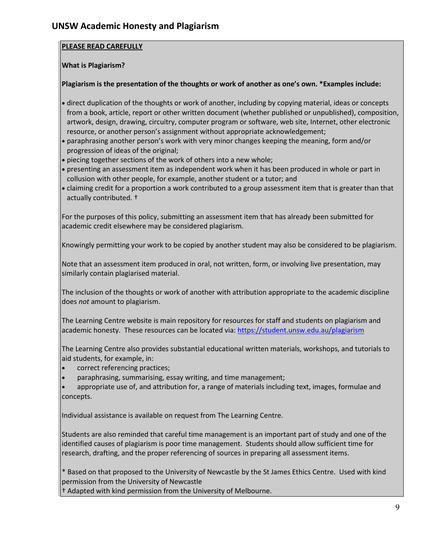#### **PLEASE READ CAREFULLY**

#### **What is Plagiarism?**

#### **Plagiarism is the presentation of the thoughts or work of another as one's own. \*Examples include:**

- direct duplication of the thoughts or work of another, including by copying material, ideas or concepts from a book, article, report or other written document (whether published or unpublished), composition, artwork, design, drawing, circuitry, computer program or software, web site, Internet, other electronic resource, or another person's assignment without appropriate acknowledgement;
- paraphrasing another person's work with very minor changes keeping the meaning, form and/or progression of ideas of the original;
- piecing together sections of the work of others into a new whole;
- presenting an assessment item as independent work when it has been produced in whole or part in collusion with other people, for example, another student or a tutor; and
- claiming credit for a proportion a work contributed to a group assessment item that is greater than that actually contributed. †

For the purposes of this policy, submitting an assessment item that has already been submitted for academic credit elsewhere may be considered plagiarism.

Knowingly permitting your work to be copied by another student may also be considered to be plagiarism.

Note that an assessment item produced in oral, not written, form, or involving live presentation, may similarly contain plagiarised material.

The inclusion of the thoughts or work of another with attribution appropriate to the academic discipline does *not* amount to plagiarism.

The Learning Centre website is main repository for resources for staff and students on plagiarism and academic honesty. These resources can be located via[: https://student.unsw.edu.au/plagiarism](https://student.unsw.edu.au/plagiarism)

The Learning Centre also provides substantial educational written materials, workshops, and tutorials to aid students, for example, in:

- correct referencing practices;
- paraphrasing, summarising, essay writing, and time management;
- appropriate use of, and attribution for, a range of materials including text, images, formulae and concepts.

Individual assistance is available on request from The Learning Centre.

Students are also reminded that careful time management is an important part of study and one of the identified causes of plagiarism is poor time management. Students should allow sufficient time for research, drafting, and the proper referencing of sources in preparing all assessment items.

\* Based on that proposed to the University of Newcastle by the St James Ethics Centre. Used with kind permission from the University of Newcastle

† Adapted with kind permission from the University of Melbourne.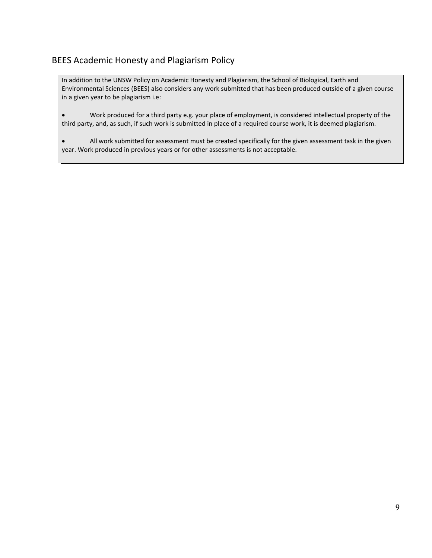### BEES Academic Honesty and Plagiarism Policy

In addition to the UNSW Policy on Academic Honesty and Plagiarism, the School of Biological, Earth and Environmental Sciences (BEES) also considers any work submitted that has been produced outside of a given course in a given year to be plagiarism i.e:

• Work produced for a third party e.g. your place of employment, is considered intellectual property of the third party, and, as such, if such work is submitted in place of a required course work, it is deemed plagiarism.

• All work submitted for assessment must be created specifically for the given assessment task in the given year. Work produced in previous years or for other assessments is not acceptable.